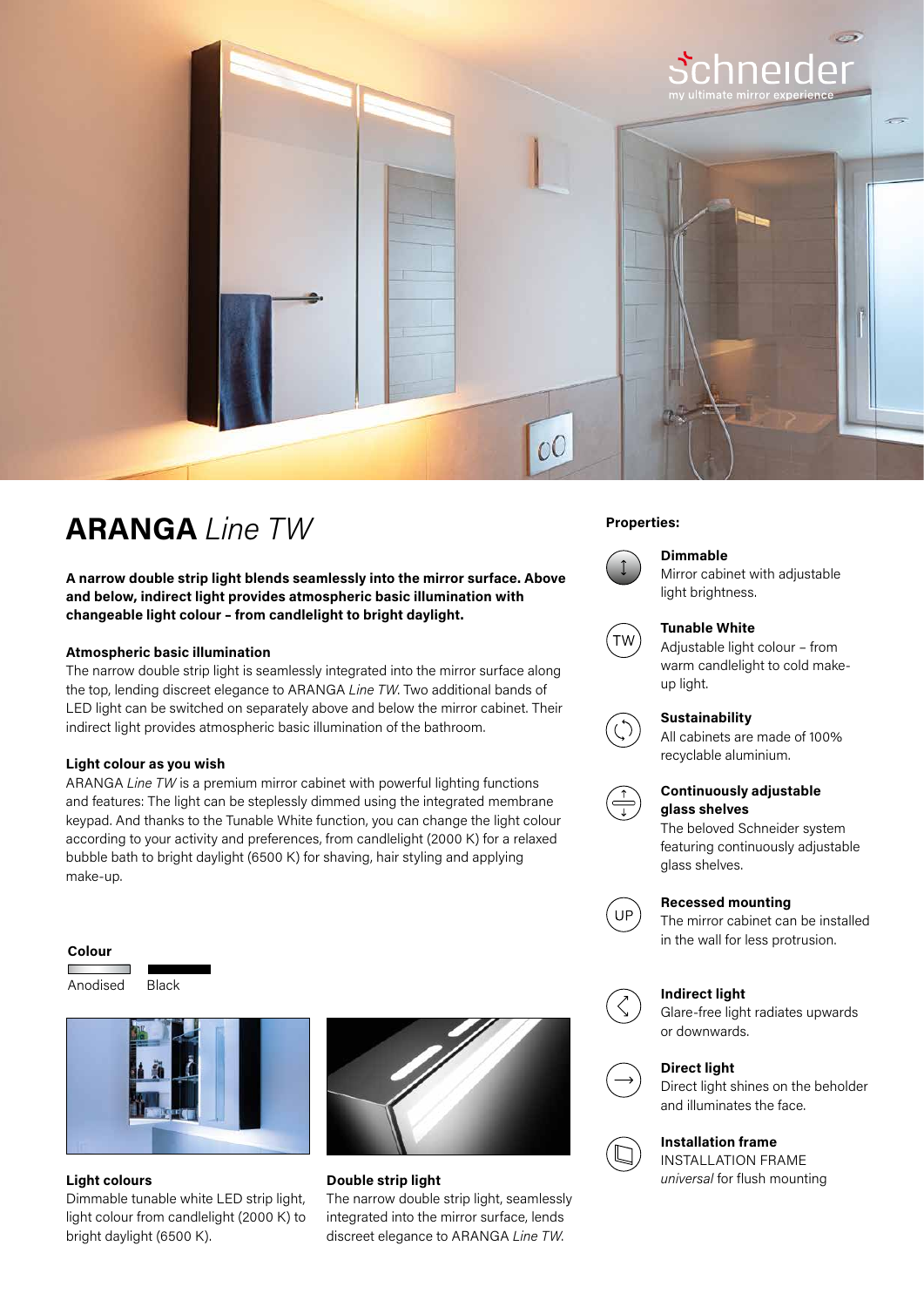

# **Properties: ARANGA** *Line TW*

**A narrow double strip light blends seamlessly into the mirror surface. Above and below, indirect light provides atmospheric basic illumination with changeable light colour – from candlelight to bright daylight.**

# **Atmospheric basic illumination**

The narrow double strip light is seamlessly integrated into the mirror surface along the top, lending discreet elegance to ARANGA *Line TW*. Two additional bands of LED light can be switched on separately above and below the mirror cabinet. Their indirect light provides atmospheric basic illumination of the bathroom.

# **Light colour as you wish**

ARANGA *Line TW* is a premium mirror cabinet with powerful lighting functions and features: The light can be steplessly dimmed using the integrated membrane keypad. And thanks to the Tunable White function, you can change the light colour according to your activity and preferences, from candlelight (2000 K) for a relaxed bubble bath to bright daylight (6500 K) for shaving, hair styling and applying make-up.

### **Colour**

Anodised Black



Dimmable tunable white LED strip light, light colour from candlelight (2000 K) to bright daylight (6500 K).



**Light colours Light colours 1997 universal** for flush mounting **Double strip light**  The narrow double strip light, seamlessly integrated into the mirror surface, lends discreet elegance to ARANGA *Line TW*.



# **Dimmable**

Mirror cabinet with adjustable light brightness.



# **Tunable White**

Adjustable light colour – from warm candlelight to cold makeup light.

# **Sustainability**

All cabinets are made of 100% recyclable aluminium.



# **Continuously adjustable glass shelves**

The beloved Schneider system featuring continuously adjustable glass shelves.



# **Recessed mounting**

The mirror cabinet can be installed in the wall for less protrusion.



# **Indirect light**

Glare-free light radiates upwards or downwards.



# **Direct light**

Direct light shines on the beholder and illuminates the face.

# **Installation frame**

INSTALLATION FRAME